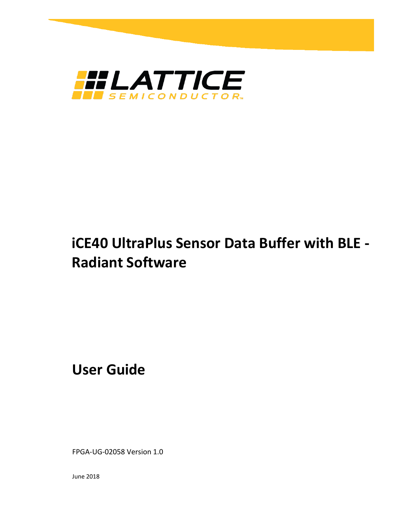

# **iCE40 UltraPlus Sensor Data Buffer with BLE - Radiant Software**

**User Guide**

FPGA-UG-02058 Version 1.0

June 2018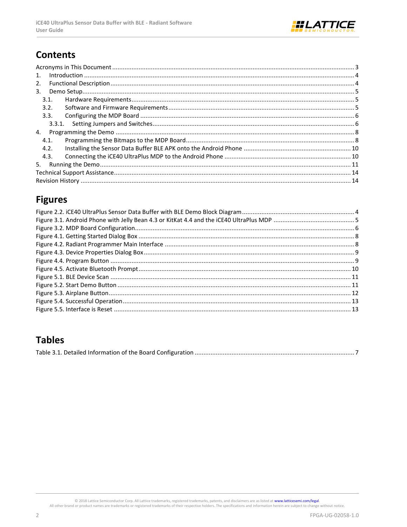

### **Contents**

| 1.   |  |
|------|--|
| 2.   |  |
| 3.   |  |
| 3.1. |  |
| 3.2. |  |
| 3.3. |  |
|      |  |
| 4.   |  |
| 4.1. |  |
| 4.2. |  |
| 4.3. |  |
| 5.   |  |
|      |  |
|      |  |

### **Figures**

### **Tables**

|--|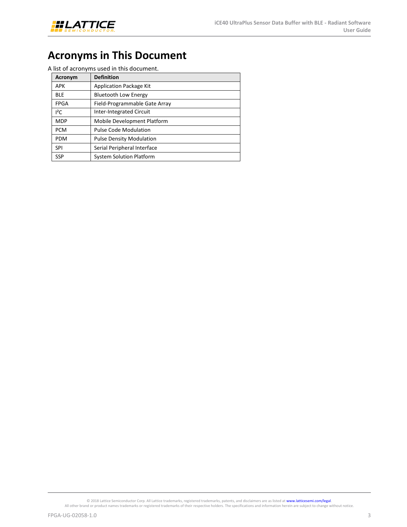

## <span id="page-2-0"></span>**Acronyms in This Document**

A list of acronyms used in this document.

| Acronym     | <b>Definition</b>               |
|-------------|---------------------------------|
| APK         | <b>Application Package Kit</b>  |
| <b>BLE</b>  | <b>Bluetooth Low Energy</b>     |
| <b>FPGA</b> | Field-Programmable Gate Array   |
| $I^2C$      | <b>Inter-Integrated Circuit</b> |
| <b>MDP</b>  | Mobile Development Platform     |
| <b>PCM</b>  | <b>Pulse Code Modulation</b>    |
| <b>PDM</b>  | <b>Pulse Density Modulation</b> |
| SPI         | Serial Peripheral Interface     |
| <b>SSP</b>  | <b>System Solution Platform</b> |

© 2018 Lattice Semiconductor Corp. All Lattice trademarks, registered trademarks, patents, and disclaimers are as listed at **www.latticesemi.com/legal**.<br>All other brand or product names trademarks or registered trademarks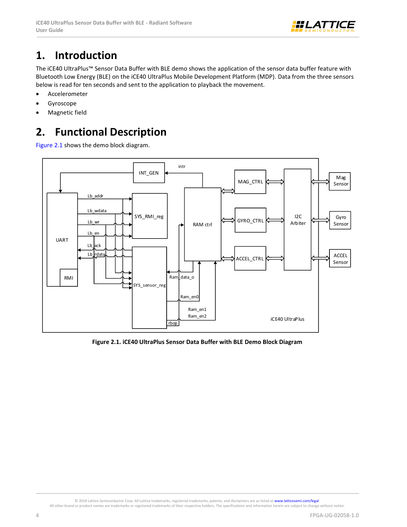

## <span id="page-3-0"></span>**1. Introduction**

The iCE40 UltraPlus™ Sensor Data Buffer with BLE demo shows the application of the sensor data buffer feature with Bluetooth Low Energy (BLE) on the iCE40 UltraPlus Mobile Development Platform (MDP). Data from the three sensors below is read for ten seconds and sent to the application to playback the movement.

- Accelerometer
- Gyroscope
- Magnetic field

## <span id="page-3-1"></span>**2. Functional Description**

[Figure 2.1](#page-3-2) shows the demo block diagram.



<span id="page-3-2"></span>**Figure 2.1. iCE40 UltraPlus Sensor Data Buffer with BLE Demo Block Diagram**

All other brand or product names are trademarks or registered trademarks of their respective holders. The specifications and information herein are subject to change without notice.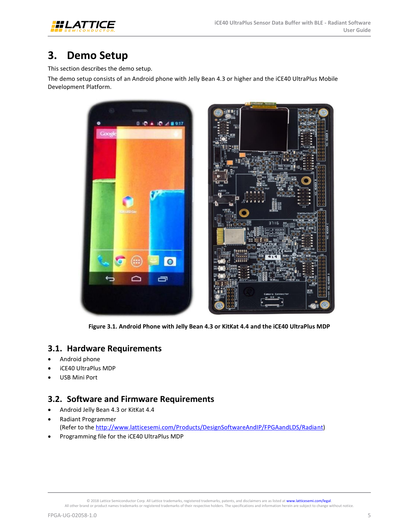

## <span id="page-4-0"></span>**3. Demo Setup**

This section describes the demo setup.

The demo setup consists of an Android phone with Jelly Bean 4.3 or higher and the iCE40 UltraPlus Mobile Development Platform.



**Figure 3.1. Android Phone with Jelly Bean 4.3 or KitKat 4.4 and the iCE40 UltraPlus MDP**

### <span id="page-4-3"></span><span id="page-4-1"></span>**3.1. Hardware Requirements**

- Android phone
- iCE40 UltraPlus MDP
- <span id="page-4-2"></span>USB Mini Port

### **3.2. Software and Firmware Requirements**

- Android Jelly Bean 4.3 or KitKat 4.4
- Radiant Programmer (Refer to the [http://www.latticesemi.com/Products/DesignSoftwareAndIP/FPGAandLDS/Radiant\)](http://www.latticesemi.com/Products/DesignSoftwareAndIP/FPGAandLDS/Radiant)
- Programming file for the iCE40 UltraPlus MDP

All other brand or product names trademarks or registered trademarks of their respective holders. The specifications and information herein are subject to change without notice.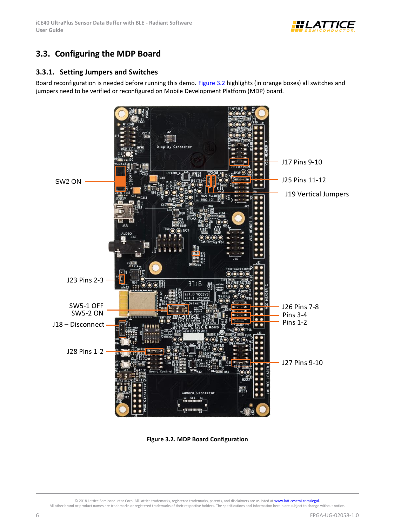

### <span id="page-5-0"></span>**3.3. Configuring the MDP Board**

#### <span id="page-5-1"></span>**3.3.1. Setting Jumpers and Switches**

Board reconfiguration is needed before running this demo. [Figure 3.2](#page-5-2) highlights (in orange boxes) all switches and jumpers need to be verified or reconfigured on Mobile Development Platform (MDP) board.



**Figure 3.2. MDP Board Configuration**

© 2018 Lattice Semiconductor Corp. All Lattice trademarks, registered trademarks, patents, and disclaimers are as listed at [www.latticesemi.com/legal.](http://www.latticesemi.com/legal) 

<span id="page-5-2"></span>All other brand or product names are trademarks or registered trademarks of their respective holders. The specifications and information herein are subject to change without notice.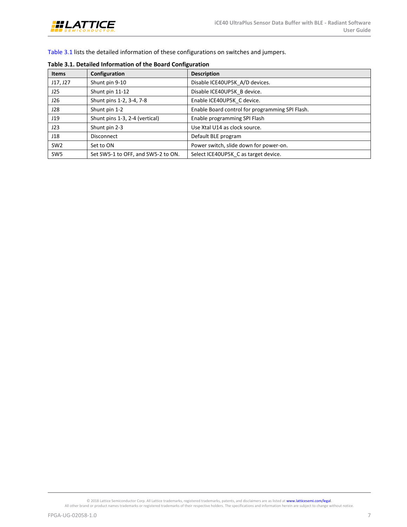

[Table 3.1](#page-6-0) lists the detailed information of these configurations on switches and jumpers.

| <b>Items</b>    | Configuration                      | <b>Description</b>                              |
|-----------------|------------------------------------|-------------------------------------------------|
| J17, J27        | Shunt pin 9-10                     | Disable ICE40UP5K A/D devices.                  |
| J25             | Shunt pin 11-12                    | Disable ICE40UP5K B device.                     |
| J26             | Shunt pins 1-2, 3-4, 7-8           | Enable ICE40UP5K C device.                      |
| J28             | Shunt pin 1-2                      | Enable Board control for programming SPI Flash. |
| J19             | Shunt pins 1-3, 2-4 (vertical)     | Enable programming SPI Flash                    |
| J23             | Shunt pin 2-3                      | Use Xtal U14 as clock source.                   |
| J18             | <b>Disconnect</b>                  | Default BLE program                             |
| SW <sub>2</sub> | Set to ON                          | Power switch, slide down for power-on.          |
| SW <sub>5</sub> | Set SW5-1 to OFF, and SW5-2 to ON. | Select ICE40UP5K C as target device.            |

#### <span id="page-6-0"></span>**Table 3.1. Detailed Information of the Board Configuration**

© 2018 Lattice Semiconductor Corp. All Lattice trademarks, registered trademarks, patents, and disclaimers are as listed at **www.latticesemi.com/legal**.<br>All other brand or product names trademarks or registered trademarks

FPGA-UG-02058-1.0 7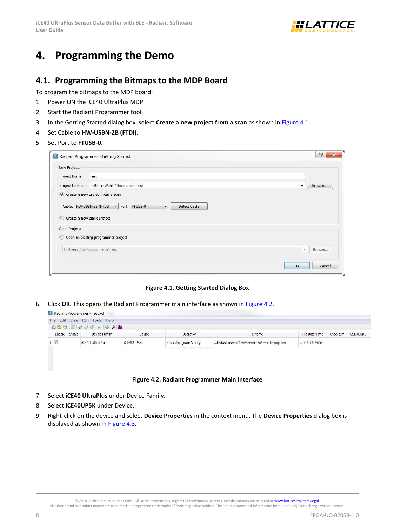

### <span id="page-7-1"></span><span id="page-7-0"></span>**4. Programming the Demo**

### **4.1. Programming the Bitmaps to the MDP Board**

To program the bitmaps to the MDP board:

- 1. Power ON the iCE40 UltraPlus MDP.
- 2. Start the Radiant Programmer tool.
- 3. In the Getting Started dialog box, select **Create a new project from a scan** as shown in [Figure 4.1.](#page-7-2)
- 4. Set Cable to **HW-USBN-2B (FTDI)**.
- 5. Set Port to **FTUSB-0**.

|                          | $\circledR$<br>$\mathbf x$<br>Radiant Programmer - Getting Started                           |
|--------------------------|----------------------------------------------------------------------------------------------|
| New Project:             |                                                                                              |
| Project Name:            | Test                                                                                         |
|                          | Project Location: C:\Users\Public\Documents\Test<br>Browse<br>▼                              |
|                          | O Create a new project from a scan                                                           |
| Cable: HW-USBN-2B (FTDI) | Port: FTUSB-0<br><b>Detect Cable</b><br>$\overline{\phantom{a}}$<br>$\overline{\phantom{a}}$ |
| C                        | Create a new blank project                                                                   |
| Open Project:            |                                                                                              |
| C                        | Open an existing programmer project                                                          |
|                          | C:\Users\Public\Documents\Test<br>Browse<br>$\overline{\phantom{a}}$                         |
|                          | OK<br>Cancel                                                                                 |

#### **Figure 4.1. Getting Started Dialog Box**

<span id="page-7-2"></span>6. Click **OK**. This opens the Radiant Programmer main interface as shown i[n Figure 4.2.](#page-7-3)

| File Edit View Run Tools Help<br>1968366008662                                                                                   |                 |          |  |  |  |  |
|----------------------------------------------------------------------------------------------------------------------------------|-----------------|----------|--|--|--|--|
|                                                                                                                                  |                 |          |  |  |  |  |
|                                                                                                                                  |                 |          |  |  |  |  |
| File Date/Time<br>Status<br>Device Family<br>Enable<br>File Name<br>Device<br>Operation                                          | <b>USERCODE</b> | Checksum |  |  |  |  |
| iCE40 UltraPlus<br>Erase, Program, Verify<br><b>iCE40UP5K</b><br>lic/Documents/Test/sensor_buf_top_bitmap.hex<br>$1/18$ 16:24:34 |                 |          |  |  |  |  |
| $1 \sqrt{ }$                                                                                                                     |                 |          |  |  |  |  |

#### **Figure 4.2. Radiant Programmer Main Interface**

- <span id="page-7-3"></span>7. Select **iCE40 UltraPlus** under Device Family.
- 8. Select **iCE40UP5K** under Device.
- 9. Right-click on the device and select **Device Properties** in the context menu. The **Device Properties** dialog box is displayed as shown i[n Figure 4.3.](#page-8-0)

All other brand or product names are trademarks or registered trademarks of their respective holders. The specifications and information herein are subject to change without notice.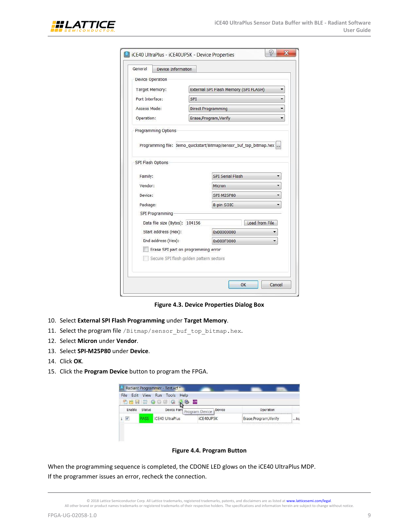

| General                                                            | Device Information |                                       |                |   |  |
|--------------------------------------------------------------------|--------------------|---------------------------------------|----------------|---|--|
| <b>Device Operation</b>                                            |                    |                                       |                |   |  |
| Target Memory:                                                     |                    | External SPI Flash Memory (SPI FLASH) |                |   |  |
| Port Interface:                                                    | <b>SPI</b>         |                                       |                |   |  |
| Access Mode:                                                       |                    | <b>Direct Programming</b>             |                | ▼ |  |
| Operation:                                                         |                    | Erase, Program, Verify                |                |   |  |
| Programming Options                                                |                    |                                       |                |   |  |
|                                                                    |                    |                                       |                |   |  |
| Programming file: demo_quickstart/Bitmap/sensor_buf_top_bitmap.hex |                    |                                       |                |   |  |
|                                                                    |                    |                                       |                |   |  |
| SPI Flash Options                                                  |                    |                                       |                |   |  |
|                                                                    |                    |                                       |                |   |  |
| Family:                                                            |                    | <b>SPI Serial Flash</b>               |                |   |  |
| Vendor:                                                            |                    | Micron                                |                |   |  |
| Device:                                                            |                    | SPI-M25P80                            |                |   |  |
| Package:                                                           |                    | 8-pin SOIC                            |                |   |  |
| SPI Programming                                                    |                    |                                       |                |   |  |
| Data file size (Bytes): 104156                                     |                    |                                       | Load from File |   |  |
| Start address (Hex):                                               |                    | 0x00000000                            |                |   |  |
| End address (Hex):                                                 |                    | 0x000F0000                            |                |   |  |
| Erase SPI part on programming error                                |                    |                                       |                |   |  |
| Secure SPI flash golden pattern sectors                            |                    |                                       |                |   |  |

**Figure 4.3. Device Properties Dialog Box**

- <span id="page-8-0"></span>10. Select **External SPI Flash Programming** under **Target Memory**.
- 11. Select the program file /Bitmap/sensor\_buf\_top\_bitmap.hex.
- 12. Select **Micron** under **Vendor**.
- 13. Select **SPI-M25P80** under **Device**.
- 14. Click **OK**.
- 15. Click the **Program Device** button to program the FPGA.

| File   | Edit View     | Run Tools Help<br>111230000<br><b>AB</b> | $\overline{\phantom{a}}$ LOS |                        |        |
|--------|---------------|------------------------------------------|------------------------------|------------------------|--------|
| Enable | <b>Status</b> | Device Fam                               | Device<br>Program Device     | Operation              |        |
| V      | ASS           | <b>ICE40 UltraPlus</b>                   | iCE40UP5K                    | Erase, Program, Verify | $$ lic |

#### **Figure 4.4. Program Button**

<span id="page-8-1"></span>When the programming sequence is completed, the CDONE LED glows on the iCE40 UltraPlus MDP. If the programmer issues an error, recheck the connection.

<sup>© 2018</sup> Lattice Semiconductor Corp. All Lattice trademarks, registered trademarks, patents, and disclaimers are as listed a[t www.latticesemi.com/legal.](http://www.latticesemi.com/legal)  All other brand or product names trademarks or registered trademarks of their respective holders. The specifications and information herein are subject to change without notice.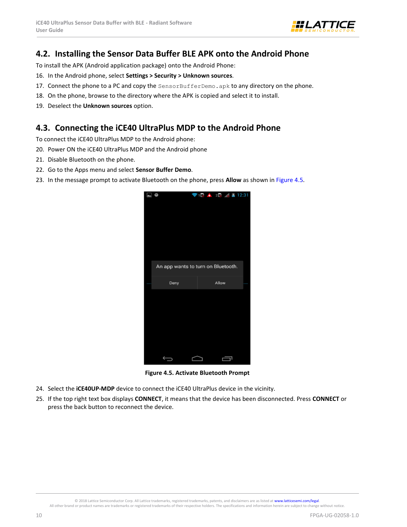

### <span id="page-9-0"></span>**4.2. Installing the Sensor Data Buffer BLE APK onto the Android Phone**

To install the APK (Android application package) onto the Android Phone:

- 16. In the Android phone, select **Settings > Security > Unknown sources**.
- 17. Connect the phone to a PC and copy the  $SensorBufferDemo \cdot$  apk to any directory on the phone.
- 18. On the phone, browse to the directory where the APK is copied and select it to install.
- <span id="page-9-1"></span>19. Deselect the **Unknown sources** option.

### **4.3. Connecting the iCE40 UltraPlus MDP to the Android Phone**

To connect the iCE40 UltraPlus MDP to the Android phone:

- 20. Power ON the iCE40 UltraPlus MDP and the Android phone
- 21. Disable Bluetooth on the phone.
- 22. Go to the Apps menu and select **Sensor Buffer Demo**.
- 23. In the message prompt to activate Bluetooth on the phone, press **Allow** as shown in [Figure 4.5.](#page-9-2)



**Figure 4.5. Activate Bluetooth Prompt**

- <span id="page-9-2"></span>24. Select the **iCE40UP-MDP** device to connect the iCE40 UltraPlus device in the vicinity.
- 25. If the top right text box displays **CONNECT**, it means that the device has been disconnected. Press **CONNECT** or press the back button to reconnect the device.

All other brand or product names are trademarks or registered trademarks of their respective holders. The specifications and information herein are subject to change without notice.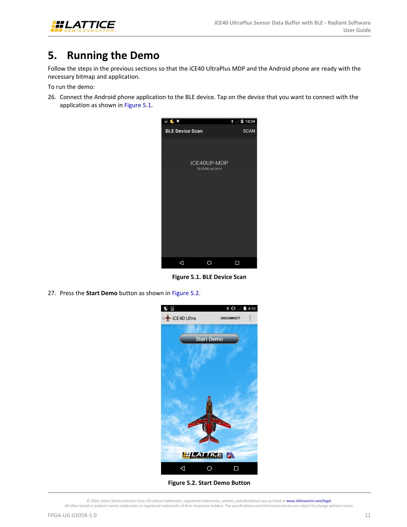

## <span id="page-10-0"></span>**5. Running the Demo**

Follow the steps in the previous sections so that the iCE40 UltraPlus MDP and the Android phone are ready with the necessary bitmap and application.

To run the demo:

26. Connect the Android phone application to the BLE device. Tap on the device that you want to connect with the application as shown in [Figure 5.1.](#page-10-1)



**Figure 5.1. BLE Device Scan** 

<span id="page-10-1"></span>27. Press the **Start Demo** button as shown in [Figure 5.2.](#page-10-2)



**Figure 5.2. Start Demo Button**

<span id="page-10-2"></span><sup>© 2018</sup> Lattice Semiconductor Corp. All Lattice trademarks, registered trademarks, patents, and disclaimers are as listed a[t www.latticesemi.com/legal.](http://www.latticesemi.com/legal)  All other brand or product names trademarks or registered trademarks of their respective holders. The specifications and information herein are subject to change without notice.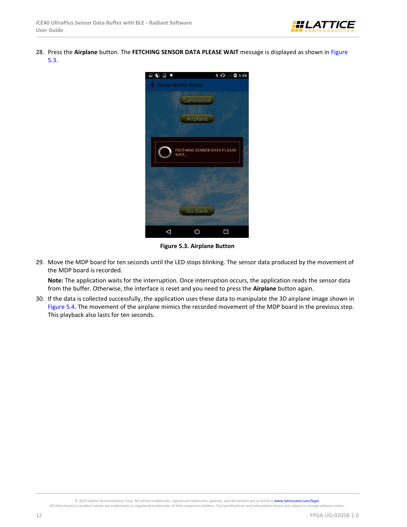

28. Press the **Airplane** button. The **FETCHING SENSOR DATA PLEASE WAIT** message is displayed as shown in [Figure](#page-11-0)  [5.3.](#page-11-0)



**Figure 5.3. Airplane Button**

<span id="page-11-0"></span>29. Move the MDP board for ten seconds until the LED stops blinking. The sensor data produced by the movement of the MDP board is recorded.

**Note:** The application waits for the interruption. Once interruption occurs, the application reads the sensor data from the buffer. Otherwise, the interface is reset and you need to press the **Airplane** button again.

30. If the data is collected successfully, the application uses these data to manipulate the 3D airplane image shown in [Figure 5.4.](#page-12-0) The movement of the airplane mimics the recorded movement of the MDP board in the previous step. This playback also lasts for ten seconds.

All other brand or product names are trademarks or registered trademarks of their respective holders. The specifications and information herein are subject to change without notice.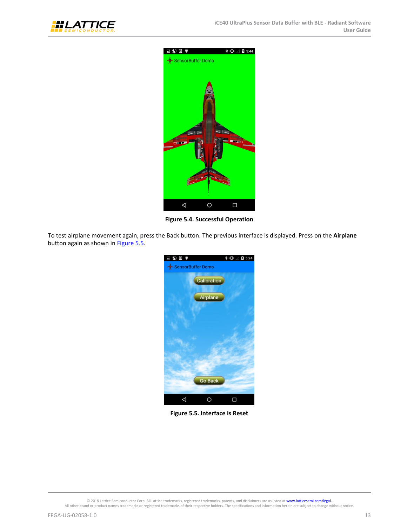



**Figure 5.4. Successful Operation**

<span id="page-12-0"></span>To test airplane movement again, press the Back button. The previous interface is displayed. Press on the **Airplane** button again as shown in [Figure 5.5.](#page-12-1)



**Figure 5.5. Interface is Reset**

<span id="page-12-1"></span>© 2018 Lattice Semiconductor Corp. All Lattice trademarks, registered trademarks, patents, and disclaimers are as listed at **www.latticesemi.com/legal**.<br>All other brand or product names trademarks or registered trademarks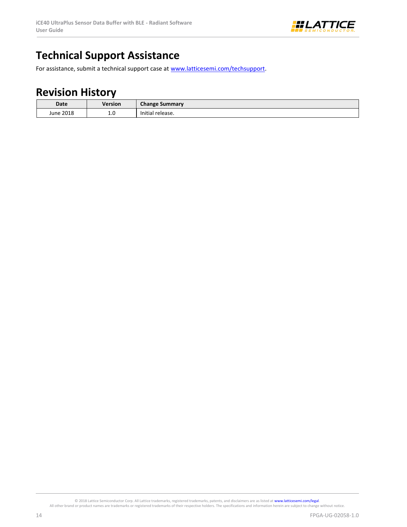

## <span id="page-13-0"></span>**Technical Support Assistance**

<span id="page-13-1"></span>For assistance, submit a technical support case a[t www.latticesemi.com/techsupport.](http://www.latticesemi.com/techsupport)

### **Revision History**

| Date      | Version       | <b>Change Summary</b> |
|-----------|---------------|-----------------------|
| June 2018 | 1.0<br>$\sim$ | Initial release.      |